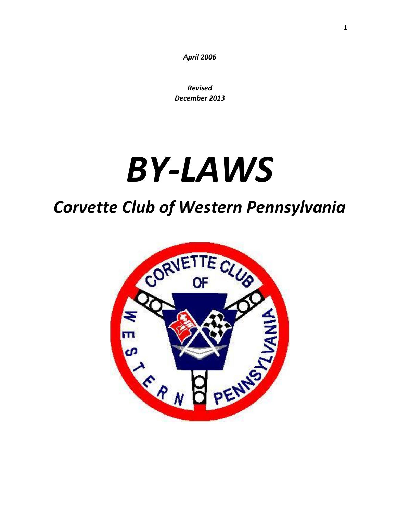*April 2006*

*Revised December 2013*

# *BY-LAWS*

# *Corvette Club of Western Pennsylvania*

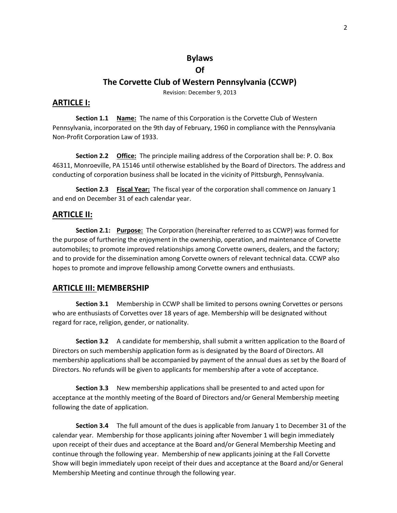#### **Bylaws**

#### **Of**

#### **The Corvette Club of Western Pennsylvania (CCWP)**

Revision: December 9, 2013

#### **ARTICLE I:**

**Section 1.1 Name:** The name of this Corporation is the Corvette Club of Western Pennsylvania, incorporated on the 9th day of February, 1960 in compliance with the Pennsylvania Non-Profit Corporation Law of 1933.

**Section 2.2 Office:** The principle mailing address of the Corporation shall be: P. O. Box 46311, Monroeville, PA 15146 until otherwise established by the Board of Directors. The address and conducting of corporation business shall be located in the vicinity of Pittsburgh, Pennsylvania.

**Section 2.3 Fiscal Year:** The fiscal year of the corporation shall commence on January 1 and end on December 31 of each calendar year.

#### **ARTICLE II:**

**Section 2.1: Purpose:** The Corporation (hereinafter referred to as CCWP) was formed for the purpose of furthering the enjoyment in the ownership, operation, and maintenance of Corvette automobiles; to promote improved relationships among Corvette owners, dealers, and the factory; and to provide for the dissemination among Corvette owners of relevant technical data. CCWP also hopes to promote and improve fellowship among Corvette owners and enthusiasts.

#### **ARTICLE III: MEMBERSHIP**

**Section 3.1** Membership in CCWP shall be limited to persons owning Corvettes or persons who are enthusiasts of Corvettes over 18 years of age. Membership will be designated without regard for race, religion, gender, or nationality.

**Section 3.2** A candidate for membership, shall submit a written application to the Board of Directors on such membership application form as is designated by the Board of Directors. All membership applications shall be accompanied by payment of the annual dues as set by the Board of Directors. No refunds will be given to applicants for membership after a vote of acceptance.

**Section 3.3** New membership applications shall be presented to and acted upon for acceptance at the monthly meeting of the Board of Directors and/or General Membership meeting following the date of application.

**Section 3.4** The full amount of the dues is applicable from January 1 to December 31 of the calendar year. Membership for those applicants joining after November 1 will begin immediately upon receipt of their dues and acceptance at the Board and/or General Membership Meeting and continue through the following year. Membership of new applicants joining at the Fall Corvette Show will begin immediately upon receipt of their dues and acceptance at the Board and/or General Membership Meeting and continue through the following year.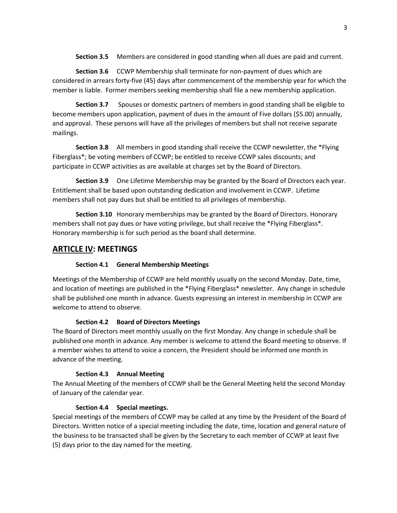**Section 3.5** Members are considered in good standing when all dues are paid and current.

**Section 3.6** CCWP Membership shall terminate for non-payment of dues which are considered in arrears forty-five (45) days after commencement of the membership year for which the member is liable. Former members seeking membership shall file a new membership application.

**Section 3.7** Spouses or domestic partners of members in good standing shall be eligible to become members upon application, payment of dues in the amount of Five dollars (\$5.00) annually, and approval. These persons will have all the privileges of members but shall not receive separate mailings.

**Section 3.8** All members in good standing shall receive the CCWP newsletter, the \*Flying Fiberglass\*; be voting members of CCWP; be entitled to receive CCWP sales discounts; and participate in CCWP activities as are available at charges set by the Board of Directors.

**Section 3.9** One Lifetime Membership may be granted by the Board of Directors each year. Entitlement shall be based upon outstanding dedication and involvement in CCWP. Lifetime members shall not pay dues but shall be entitled to all privileges of membership.

**Section 3.10** Honorary memberships may be granted by the Board of Directors. Honorary members shall not pay dues or have voting privilege, but shall receive the \*Flying Fiberglass\*. Honorary membership is for such period as the board shall determine.

# **ARTICLE IV: MEETINGS**

#### **Section 4.1 General Membership Meetings**

Meetings of the Membership of CCWP are held monthly usually on the second Monday. Date, time, and location of meetings are published in the \*Flying Fiberglass\* newsletter. Any change in schedule shall be published one month in advance. Guests expressing an interest in membership in CCWP are welcome to attend to observe.

#### **Section 4.2 Board of Directors Meetings**

The Board of Directors meet monthly usually on the first Monday. Any change in schedule shall be published one month in advance. Any member is welcome to attend the Board meeting to observe. If a member wishes to attend to voice a concern, the President should be informed one month in advance of the meeting.

#### **Section 4.3 Annual Meeting**

The Annual Meeting of the members of CCWP shall be the General Meeting held the second Monday of January of the calendar year.

#### **Section 4.4 Special meetings.**

Special meetings of the members of CCWP may be called at any time by the President of the Board of Directors. Written notice of a special meeting including the date, time, location and general nature of the business to be transacted shall be given by the Secretary to each member of CCWP at least five (5) days prior to the day named for the meeting.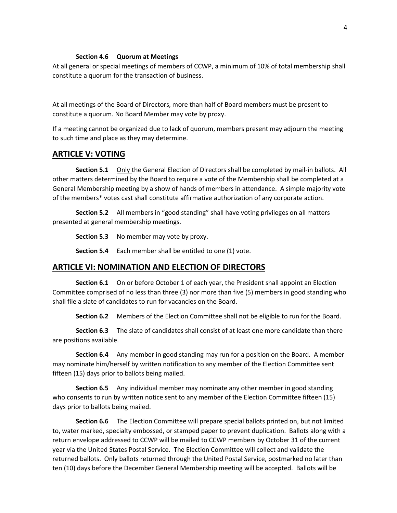#### **Section 4.6 Quorum at Meetings**

At all general or special meetings of members of CCWP, a minimum of 10% of total membership shall constitute a quorum for the transaction of business.

At all meetings of the Board of Directors, more than half of Board members must be present to constitute a quorum. No Board Member may vote by proxy.

If a meeting cannot be organized due to lack of quorum, members present may adjourn the meeting to such time and place as they may determine.

#### **ARTICLE V: VOTING**

**Section 5.1** Only the General Election of Directors shall be completed by mail-in ballots. All other matters determined by the Board to require a vote of the Membership shall be completed at a General Membership meeting by a show of hands of members in attendance. A simple majority vote of the members\* votes cast shall constitute affirmative authorization of any corporate action.

**Section 5.2** All members in "good standing" shall have voting privileges on all matters presented at general membership meetings.

**Section 5.3** No member may vote by proxy.

**Section 5.4** Each member shall be entitled to one (1) vote.

#### **ARTICLE VI: NOMINATION AND ELECTION OF DIRECTORS**

**Section 6.1** On or before October 1 of each year, the President shall appoint an Election Committee comprised of no less than three (3) nor more than five (5) members in good standing who shall file a slate of candidates to run for vacancies on the Board.

**Section 6.2** Members of the Election Committee shall not be eligible to run for the Board.

**Section 6.3** The slate of candidates shall consist of at least one more candidate than there are positions available.

**Section 6.4** Any member in good standing may run for a position on the Board. A member may nominate him/herself by written notification to any member of the Election Committee sent fifteen (15) days prior to ballots being mailed.

**Section 6.5** Any individual member may nominate any other member in good standing who consents to run by written notice sent to any member of the Election Committee fifteen (15) days prior to ballots being mailed.

**Section 6.6** The Election Committee will prepare special ballots printed on, but not limited to, water marked, specialty embossed, or stamped paper to prevent duplication. Ballots along with a return envelope addressed to CCWP will be mailed to CCWP members by October 31 of the current year via the United States Postal Service. The Election Committee will collect and validate the returned ballots. Only ballots returned through the United Postal Service, postmarked no later than ten (10) days before the December General Membership meeting will be accepted. Ballots will be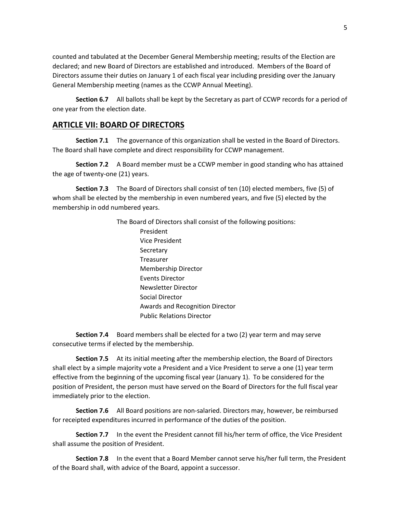counted and tabulated at the December General Membership meeting; results of the Election are declared; and new Board of Directors are established and introduced. Members of the Board of Directors assume their duties on January 1 of each fiscal year including presiding over the January General Membership meeting (names as the CCWP Annual Meeting).

**Section 6.7** All ballots shall be kept by the Secretary as part of CCWP records for a period of one year from the election date.

# **ARTICLE VII: BOARD OF DIRECTORS**

**Section 7.1** The governance of this organization shall be vested in the Board of Directors. The Board shall have complete and direct responsibility for CCWP management.

**Section 7.2** A Board member must be a CCWP member in good standing who has attained the age of twenty-one (21) years.

**Section 7.3** The Board of Directors shall consist of ten (10) elected members, five (5) of whom shall be elected by the membership in even numbered years, and five (5) elected by the membership in odd numbered years.

> The Board of Directors shall consist of the following positions: President Vice President **Secretary** Treasurer Membership Director Events Director Newsletter Director Social Director Awards and Recognition Director Public Relations Director

**Section 7.4** Board members shall be elected for a two (2) year term and may serve consecutive terms if elected by the membership.

**Section 7.5** At its initial meeting after the membership election, the Board of Directors shall elect by a simple majority vote a President and a Vice President to serve a one (1) year term effective from the beginning of the upcoming fiscal year (January 1). To be considered for the position of President, the person must have served on the Board of Directors for the full fiscal year immediately prior to the election.

**Section 7.6** All Board positions are non-salaried. Directors may, however, be reimbursed for receipted expenditures incurred in performance of the duties of the position.

**Section 7.7** In the event the President cannot fill his/her term of office, the Vice President shall assume the position of President.

**Section 7.8** In the event that a Board Member cannot serve his/her full term, the President of the Board shall, with advice of the Board, appoint a successor.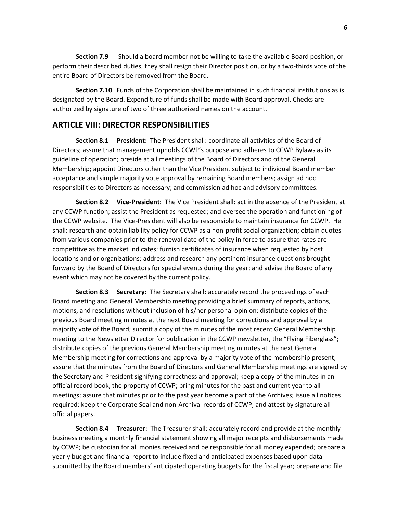**Section 7.9** Should a board member not be willing to take the available Board position, or perform their described duties, they shall resign their Director position, or by a two-thirds vote of the entire Board of Directors be removed from the Board.

**Section 7.10** Funds of the Corporation shall be maintained in such financial institutions as is designated by the Board. Expenditure of funds shall be made with Board approval. Checks are authorized by signature of two of three authorized names on the account.

# **ARTICLE VIII: DIRECTOR RESPONSIBILITIES**

**Section 8.1 President:** The President shall: coordinate all activities of the Board of Directors; assure that management upholds CCWP's purpose and adheres to CCWP Bylaws as its guideline of operation; preside at all meetings of the Board of Directors and of the General Membership; appoint Directors other than the Vice President subject to individual Board member acceptance and simple majority vote approval by remaining Board members; assign ad hoc responsibilities to Directors as necessary; and commission ad hoc and advisory committees.

**Section 8.2 Vice-President:** The Vice President shall: act in the absence of the President at any CCWP function; assist the President as requested; and oversee the operation and functioning of the CCWP website. The Vice-President will also be responsible to maintain insurance for CCWP. He shall: research and obtain liability policy for CCWP as a non-profit social organization; obtain quotes from various companies prior to the renewal date of the policy in force to assure that rates are competitive as the market indicates; furnish certificates of insurance when requested by host locations and or organizations; address and research any pertinent insurance questions brought forward by the Board of Directors for special events during the year; and advise the Board of any event which may not be covered by the current policy.

**Section 8.3 Secretary:** The Secretary shall: accurately record the proceedings of each Board meeting and General Membership meeting providing a brief summary of reports, actions, motions, and resolutions without inclusion of his/her personal opinion; distribute copies of the previous Board meeting minutes at the next Board meeting for corrections and approval by a majority vote of the Board; submit a copy of the minutes of the most recent General Membership meeting to the Newsletter Director for publication in the CCWP newsletter, the "Flying Fiberglass"; distribute copies of the previous General Membership meeting minutes at the next General Membership meeting for corrections and approval by a majority vote of the membership present; assure that the minutes from the Board of Directors and General Membership meetings are signed by the Secretary and President signifying correctness and approval; keep a copy of the minutes in an official record book, the property of CCWP; bring minutes for the past and current year to all meetings; assure that minutes prior to the past year become a part of the Archives; issue all notices required; keep the Corporate Seal and non-Archival records of CCWP; and attest by signature all official papers.

**Section 8.4 Treasurer:** The Treasurer shall: accurately record and provide at the monthly business meeting a monthly financial statement showing all major receipts and disbursements made by CCWP; be custodian for all monies received and be responsible for all money expended; prepare a yearly budget and financial report to include fixed and anticipated expenses based upon data submitted by the Board members' anticipated operating budgets for the fiscal year; prepare and file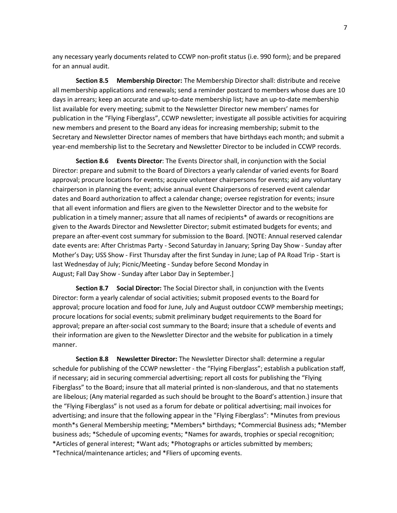any necessary yearly documents related to CCWP non-profit status (i.e. 990 form); and be prepared for an annual audit.

**Section 8.5 Membership Director:** The Membership Director shall: distribute and receive all membership applications and renewals; send a reminder postcard to members whose dues are 10 days in arrears; keep an accurate and up-to-date membership list; have an up-to-date membership list available for every meeting; submit to the Newsletter Director new members' names for publication in the "Flying Fiberglass", CCWP newsletter; investigate all possible activities for acquiring new members and present to the Board any ideas for increasing membership; submit to the Secretary and Newsletter Director names of members that have birthdays each month; and submit a year-end membership list to the Secretary and Newsletter Director to be included in CCWP records.

**Section 8.6 Events Director**: The Events Director shall, in conjunction with the Social Director: prepare and submit to the Board of Directors a yearly calendar of varied events for Board approval; procure locations for events; acquire volunteer chairpersons for events; aid any voluntary chairperson in planning the event; advise annual event Chairpersons of reserved event calendar dates and Board authorization to affect a calendar change; oversee registration for events; insure that all event information and fliers are given to the Newsletter Director and to the website for publication in a timely manner; assure that all names of recipients\* of awards or recognitions are given to the Awards Director and Newsletter Director; submit estimated budgets for events; and prepare an after-event cost summary for submission to the Board. [NOTE: Annual reserved calendar date events are: After Christmas Party - Second Saturday in January; Spring Day Show - Sunday after Mother's Day; USS Show - First Thursday after the first Sunday in June; Lap of PA Road Trip - Start is last Wednesday of July; Picnic/Meeting - Sunday before Second Monday in August; Fall Day Show - Sunday after Labor Day in September.]

**Section 8.7 Social Director:** The Social Director shall, in conjunction with the Events Director: form a yearly calendar of social activities; submit proposed events to the Board for approval; procure location and food for June, July and August outdoor CCWP membership meetings; procure locations for social events; submit preliminary budget requirements to the Board for approval; prepare an after-social cost summary to the Board; insure that a schedule of events and their information are given to the Newsletter Director and the website for publication in a timely manner.

**Section 8.8 Newsletter Director:** The Newsletter Director shall: determine a regular schedule for publishing of the CCWP newsletter - the "Flying Fiberglass"; establish a publication staff, if necessary; aid in securing commercial advertising; report all costs for publishing the "Flying Fiberglass" to the Board; insure that all material printed is non-slanderous, and that no statements are libelous; (Any material regarded as such should be brought to the Board's attention.) insure that the "Flying Fiberglass" is not used as a forum for debate or political advertising; mail invoices for advertising; and insure that the following appear in the "Flying Fiberglass": \*Minutes from previous month\*s General Membership meeting; \*Members\* birthdays; \*Commercial Business ads; \*Member business ads; \*Schedule of upcoming events; \*Names for awards, trophies or special recognition; \*Articles of general interest; \*Want ads; \*Photographs or articles submitted by members; \*Technical/maintenance articles; and \*Fliers of upcoming events.